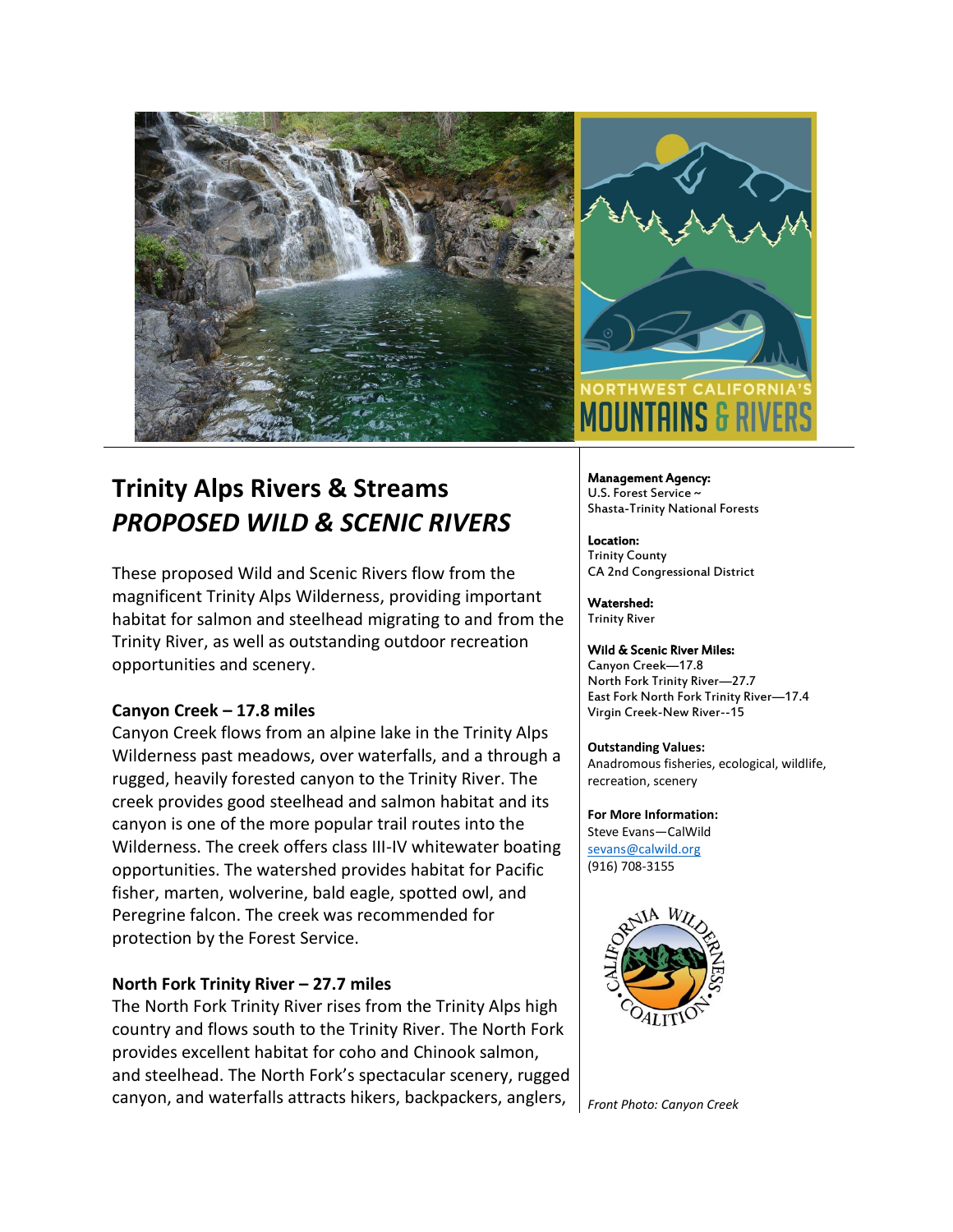

# **Trinity Alps Rivers & Streams** *PROPOSED WILD & SCENIC RIVERS*

These proposed Wild and Scenic Rivers flow from the magnificent Trinity Alps Wilderness, providing important habitat for salmon and steelhead migrating to and from the Trinity River, as well as outstanding outdoor recreation opportunities and scenery.

## **Canyon Creek – 17.8 miles**

Canyon Creek flows from an alpine lake in the Trinity Alps Wilderness past meadows, over waterfalls, and a through a rugged, heavily forested canyon to the Trinity River. The creek provides good steelhead and salmon habitat and its canyon is one of the more popular trail routes into the Wilderness. The creek offers class III-IV whitewater boating opportunities. The watershed provides habitat for Pacific fisher, marten, wolverine, bald eagle, spotted owl, and Peregrine falcon. The creek was recommended for protection by the Forest Service.

## **North Fork Trinity River – 27.7 miles**

The North Fork Trinity River rises from the Trinity Alps high country and flows south to the Trinity River. The North Fork provides excellent habitat for coho and Chinook salmon, and steelhead. The North Fork's spectacular scenery, rugged canyon, and waterfalls attracts hikers, backpackers, anglers,



Management Agency: U.S. Forest Service ~ Shasta-Trinity National Forests

Location: Trinity County CA 2nd Congressional District

Watershed: Trinity River

### Wild & Scenic River Miles:

Canyon Creek—17.8 North Fork Trinity River—27.7 East Fork North Fork Trinity River—17.4 Virgin Creek-New River--15

### **Outstanding Values:**

Anadromous fisheries, ecological, wildlife, recreation, scenery

#### **For More Information:** Steve Evans—CalWild [sevans@calwild.org](mailto:sevans@calwild.org)

(916) 708-3155



*Front Photo: Canyon Creek*